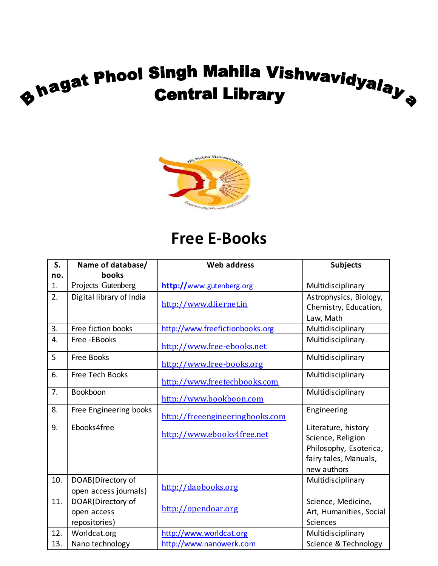# **The State Phool Singh Mahila Vishwavidyalay State Central Library**



#### **Free E-Books**

| S.  | Name of database/                                 | <b>Web address</b>              | <b>Subjects</b>                                                                                            |
|-----|---------------------------------------------------|---------------------------------|------------------------------------------------------------------------------------------------------------|
| no. | books                                             |                                 |                                                                                                            |
| 1.  | Projects Gutenberg                                | http://www.gutenberg.org        | Multidisciplinary                                                                                          |
| 2.  | Digital library of India                          | http://www.dli.ernet.in         | Astrophysics, Biology,<br>Chemistry, Education,<br>Law, Math                                               |
| 3.  | Free fiction books                                | http://www.freefictionbooks.org | Multidisciplinary                                                                                          |
| 4.  | Free -EBooks                                      | http://www.free-ebooks.net      | Multidisciplinary                                                                                          |
| 5   | Free Books                                        | http://www.free-books.org       | Multidisciplinary                                                                                          |
| 6.  | <b>Free Tech Books</b>                            | http://www.freetechbooks.com    | Multidisciplinary                                                                                          |
| 7.  | Bookboon                                          | http://www.bookboon.com         | Multidisciplinary                                                                                          |
| 8.  | Free Engineering books                            | http://freeengineeringbooks.com | Engineering                                                                                                |
| 9.  | Ebooks4free                                       | http://www.ebooks4free.net      | Literature, history<br>Science, Religion<br>Philosophy, Esoterica,<br>fairy tales, Manuals,<br>new authors |
| 10. | DOAB(Directory of<br>open access journals)        | http://daobooks.org             | Multidisciplinary                                                                                          |
| 11. | DOAR(Directory of<br>open access<br>repositories) | http://opendoar.org             | Science, Medicine,<br>Art, Humanities, Social<br><b>Sciences</b>                                           |
| 12. | Worldcat.org                                      | http://www.worldcat.org         | Multidisciplinary                                                                                          |
| 13. | Nano technology                                   | http://www.nanowerk.com         | Science & Technology                                                                                       |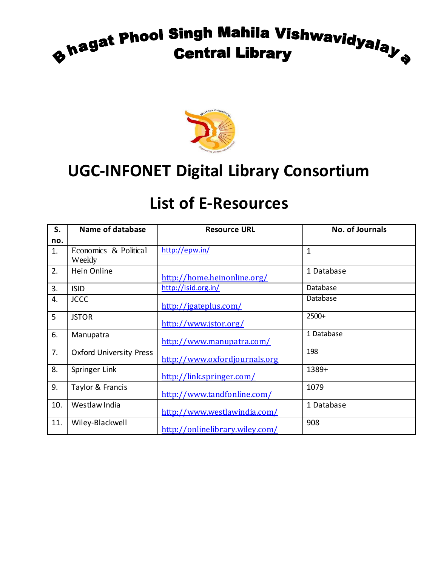## **The State Phool Singh Mahila Vishwavidyalay**



#### **UGC-INFONET Digital Library Consortium**

| S.  | Name of database               | <b>Resource URL</b>             | <b>No. of Journals</b> |
|-----|--------------------------------|---------------------------------|------------------------|
| no. |                                |                                 |                        |
| 1.  | Economics & Political          | http://epw.in/                  | 1                      |
|     | Weekly                         |                                 |                        |
| 2.  | Hein Online                    |                                 | 1 Database             |
|     |                                | http://home.heinonline.org/     |                        |
| 3.  | <b>ISID</b>                    | http://isid.org.in/             | Database               |
| 4.  | <b>JCCC</b>                    |                                 | Database               |
|     |                                | http://jgateplus.com/           |                        |
| 5   | <b>JSTOR</b>                   |                                 | 2500+                  |
|     |                                | http://www.jstor.org/           |                        |
| 6.  | Manupatra                      |                                 | 1 Database             |
|     |                                | http://www.manupatra.com/       |                        |
| 7.  | <b>Oxford University Press</b> |                                 | 198                    |
|     |                                | http://www.oxfordjournals.org   |                        |
| 8.  | Springer Link                  |                                 | 1389+                  |
|     |                                | http://link.springer.com/       |                        |
| 9.  | Taylor & Francis               |                                 | 1079                   |
|     |                                | http://www.tandfonline.com/     |                        |
| 10. | Westlaw India                  |                                 | 1 Database             |
|     |                                | http://www.westlawindia.com/    |                        |
| 11. | Wiley-Blackwell                |                                 | 908                    |
|     |                                | http://onlinelibrary.wiley.com/ |                        |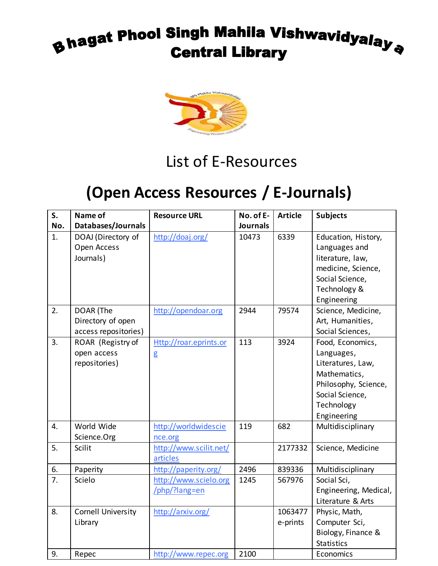#### **Bhagat Phool Singh Mahila Vishwavidyalay a**<br>Central Library **Central Library**



#### List of E-Resources

#### **(Open Access Resources / E-Journals)**

| S.  | Name of                   | <b>Resource URL</b>    | No. of E-       | <b>Article</b> | <b>Subjects</b>       |
|-----|---------------------------|------------------------|-----------------|----------------|-----------------------|
| No. | Databases/Journals        |                        | <b>Journals</b> |                |                       |
| 1.  | DOAJ (Directory of        | http://doaj.org/       | 10473           | 6339           | Education, History,   |
|     | Open Access               |                        |                 |                | Languages and         |
|     | Journals)                 |                        |                 |                | literature, law,      |
|     |                           |                        |                 |                | medicine, Science,    |
|     |                           |                        |                 |                | Social Science,       |
|     |                           |                        |                 |                | Technology &          |
|     |                           |                        |                 |                | Engineering           |
| 2.  | DOAR (The                 | http://opendoar.org    | 2944            | 79574          | Science, Medicine,    |
|     | Directory of open         |                        |                 |                | Art, Humanities,      |
|     | access repositories)      |                        |                 |                | Social Sciences,      |
| 3.  | ROAR (Registry of         | Http://roar.eprints.or | 113             | 3924           | Food, Economics,      |
|     | open access               | g                      |                 |                | Languages,            |
|     | repositories)             |                        |                 |                | Literatures, Law,     |
|     |                           |                        |                 |                | Mathematics,          |
|     |                           |                        |                 |                | Philosophy, Science,  |
|     |                           |                        |                 |                | Social Science,       |
|     |                           |                        |                 |                | Technology            |
|     |                           |                        |                 |                | Engineering           |
| 4.  | World Wide                | http://worldwidescie   | 119             | 682            | Multidisciplinary     |
|     | Science.Org               | nce.org                |                 |                |                       |
| 5.  | Scilit                    | http://www.scilit.net/ |                 | 2177332        | Science, Medicine     |
|     |                           | articles               |                 |                |                       |
| 6.  | Paperity                  | http://paperity.org/   | 2496            | 839336         | Multidisciplinary     |
| 7.  | Scielo                    | http://www.scielo.org  | 1245            | 567976         | Social Sci,           |
|     |                           | /php/?lang=en          |                 |                | Engineering, Medical, |
|     |                           |                        |                 |                | Literature & Arts     |
| 8.  | <b>Cornell University</b> | http://arxiv.org/      |                 | 1063477        | Physic, Math,         |
|     | Library                   |                        |                 | e-prints       | Computer Sci,         |
|     |                           |                        |                 |                | Biology, Finance &    |
|     |                           |                        |                 |                | <b>Statistics</b>     |
| 9.  | Repec                     | http://www.repec.org   | 2100            |                | Economics             |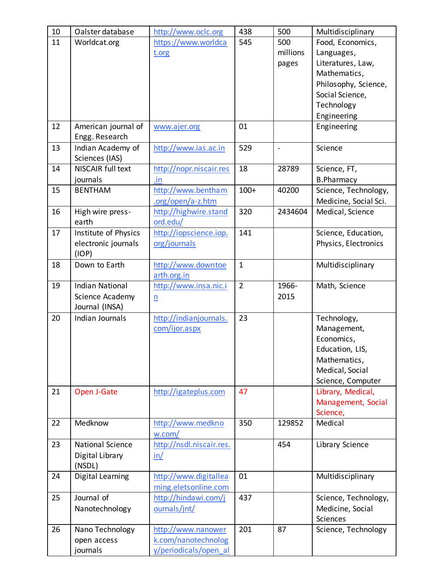| 10 | Oalster database         | http://www.oclc.org      | 438            | 500            | Multidisciplinary     |
|----|--------------------------|--------------------------|----------------|----------------|-----------------------|
| 11 | Worldcat.org             | https://www.worldca      | 545            | 500            | Food, Economics,      |
|    |                          | t.org                    |                | millions       | Languages,            |
|    |                          |                          |                | pages          | Literatures, Law,     |
|    |                          |                          |                |                | Mathematics,          |
|    |                          |                          |                |                | Philosophy, Science,  |
|    |                          |                          |                |                | Social Science,       |
|    |                          |                          |                |                | Technology            |
|    |                          |                          |                |                | Engineering           |
| 12 | American journal of      | www.ajer.org             | 01             |                | Engineering           |
|    | Engg. Research           |                          |                |                |                       |
| 13 | Indian Academy of        | http://www.ias.ac.in     | 529            | $\overline{a}$ | Science               |
|    | Sciences (IAS)           |                          |                |                |                       |
| 14 | <b>NISCAIR full text</b> | http://nopr.niscair.res  | 18             | 28789          | Science, FT,          |
|    | journals                 | .in                      |                |                | <b>B.Pharmacy</b>     |
| 15 | <b>BENTHAM</b>           | http://www.bentham       | $100+$         | 40200          | Science, Technology,  |
|    |                          | .org/open/a-z.htm        |                |                | Medicine, Social Sci. |
| 16 | High wire press-         | http://highwire.stand    | 320            | 2434604        | Medical, Science      |
|    | earth                    | ord.edu/                 |                |                |                       |
| 17 | Institute of Physics     | http://iopscience.iop.   | 141            |                | Science, Education,   |
|    | electronic journals      | org/journals             |                |                | Physics, Electronics  |
|    | (IOP)                    |                          |                |                |                       |
| 18 | Down to Earth            | http://www.downtoe       | $\mathbf{1}$   |                | Multidisciplinary     |
|    |                          | arth.org.in              |                |                |                       |
| 19 | <b>Indian National</b>   | http://www.insa.nic.i    | $\overline{2}$ | 1966-          | Math, Science         |
|    | Science Academy          | $\underline{n}$          |                | 2015           |                       |
|    | Journal (INSA)           |                          |                |                |                       |
| 20 | Indian Journals          | http://indianjournals.   | 23             |                | Technology,           |
|    |                          | com/ijor.aspx            |                |                | Management,           |
|    |                          |                          |                |                | Economics,            |
|    |                          |                          |                |                | Education, LIS,       |
|    |                          |                          |                |                | Mathematics,          |
|    |                          |                          |                |                | Medical, Social       |
|    |                          |                          |                |                | Science, Computer     |
| 21 | Open J-Gate              | http://igateplus.com     | 47             |                | Library, Medical,     |
|    |                          |                          |                |                | Management, Social    |
|    |                          |                          |                |                | Science,              |
| 22 | Medknow                  | http://www.medkno        | 350            | 129852         | Medical               |
|    |                          | w.com/                   |                |                |                       |
| 23 | <b>National Science</b>  | http://nsdl.niscair.res. |                | 454            | Library Science       |
|    | Digital Library          | in/                      |                |                |                       |
|    | (NSDL)                   |                          |                |                |                       |
| 24 | <b>Digital Learning</b>  | http://www.digitallea    | 01             |                | Multidisciplinary     |
|    |                          | rning.eletsonline.com    |                |                |                       |
| 25 | Journal of               | http://hindawi.com/j     | 437            |                | Science, Technology,  |
|    | Nanotechnology           | ournals/jnt/             |                |                | Medicine, Social      |
|    |                          |                          |                |                | Sciences              |
| 26 | Nano Technology          | http://www.nanower       | 201            | 87             | Science, Technology   |
|    | open access              | k.com/nanotechnolog      |                |                |                       |
|    | journals                 | y/periodicals/open al    |                |                |                       |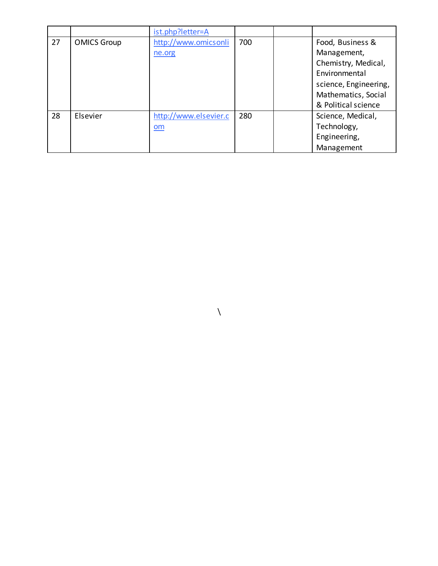|    |                    | ist.php?letter=A          |     |                       |
|----|--------------------|---------------------------|-----|-----------------------|
| 27 | <b>OMICS Group</b> | http://www.omicsonli      | 700 | Food, Business &      |
|    |                    | ne.org                    |     | Management,           |
|    |                    |                           |     | Chemistry, Medical,   |
|    |                    |                           |     | Environmental         |
|    |                    |                           |     | science, Engineering, |
|    |                    |                           |     | Mathematics, Social   |
|    |                    |                           |     | & Political science   |
| 28 | Elsevier           | http://www.elsevier.c     | 280 | Science, Medical,     |
|    |                    | $\underline{\mathsf{om}}$ |     | Technology,           |
|    |                    |                           |     | Engineering,          |
|    |                    |                           |     | Management            |

 $\chi$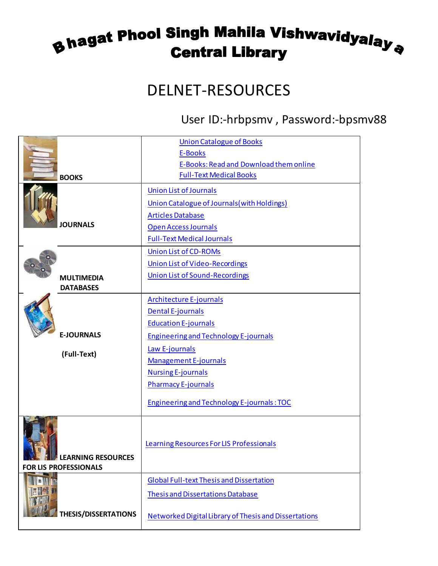#### **8 hagat Phool Singh Mahila Vishwavidyalay a**<br>Central Library **Central Library**

#### DELNET-RESOURCES

#### User ID:-hrbpsmv , Password:-bpsmv88

|                               | <b>Union Catalogue of Books</b>                       |
|-------------------------------|-------------------------------------------------------|
|                               | <b>E-Books</b>                                        |
|                               | E-Books: Read and Download them online                |
| <b>BOOKS</b>                  | <b>Full-Text Medical Books</b>                        |
|                               | <b>Union List of Journals</b>                         |
|                               | Union Catalogue of Journals (with Holdings)           |
|                               | <b>Articles Database</b>                              |
| <b>JOURNALS</b>               | <b>Open Access Journals</b>                           |
|                               | <b>Full-Text Medical Journals</b>                     |
|                               | <b>Union List of CD-ROMs</b>                          |
|                               | <b>Union List of Video-Recordings</b>                 |
| <b>MULTIMEDIA</b>             | <b>Union List of Sound-Recordings</b>                 |
| <b>DATABASES</b>              |                                                       |
|                               | <b>Architecture E-journals</b>                        |
|                               | <b>Dental E-journals</b>                              |
|                               | <b>Education E-journals</b>                           |
| <b>E-JOURNALS</b>             | <b>Engineering and Technology E-journals</b>          |
| (Full-Text)                   | Law E-journals                                        |
|                               | Management E-journals                                 |
|                               | <b>Nursing E-journals</b>                             |
|                               | <b>Pharmacy E-journals</b>                            |
|                               |                                                       |
|                               | <b>Engineering and Technology E-journals: TOC</b>     |
|                               |                                                       |
|                               |                                                       |
|                               | Learning Resources For LIS Professionals              |
| <b>THE LEARNING RESOURCES</b> |                                                       |
| <b>FOR LIS PROFESSIONALS</b>  |                                                       |
|                               | <b>Global Full-text Thesis and Dissertation</b>       |
|                               | <b>Thesis and Dissertations Database</b>              |
|                               |                                                       |
| <b>THESIS/DISSERTATIONS</b>   | Networked Digital Library of Thesis and Dissertations |
|                               |                                                       |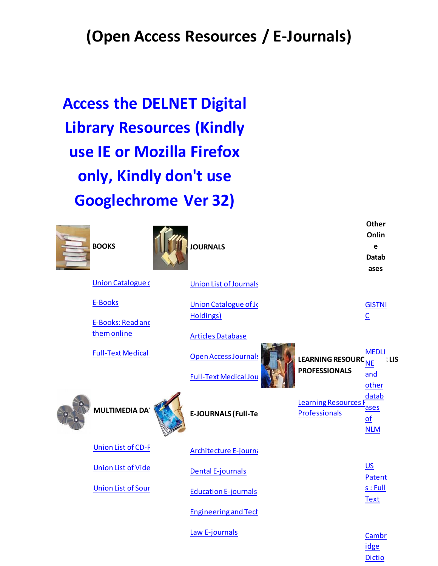#### **(Open Access Resources / E-Journals)**

**Access the DELNET Digital Library Resources (Kindly use IE or Mozilla Firefox only, Kindly don't use Googlechrome Ver 32)**

| <b>BOOKS</b>                            | <b>JOURNALS</b>                                             |                                              | Onlin<br>e<br><b>Datab</b><br>ases             |
|-----------------------------------------|-------------------------------------------------------------|----------------------------------------------|------------------------------------------------|
| <b>Union Catalogue c</b>                | <b>Union List of Journals</b>                               |                                              |                                                |
| E-Books<br>E-Books: Read and            | <b>Union Catalogue of Jo</b><br>Holdings)                   |                                              | <b>GISTNI</b><br>$\underline{\mathsf{C}}$      |
| them online<br><b>Full-Text Medical</b> | <b>Articles Database</b>                                    |                                              | <b>MEDLI</b>                                   |
|                                         | <b>Open Access Journals</b><br><b>Full-Text Medical Jou</b> | LEARNING RESOURCHE<br><b>PROFESSIONALS</b>   | <b>ILIS</b><br>and<br>other                    |
| <b>MULTIMEDIA DAT</b>                   | <b>E-JOURNALS (Full-Te</b>                                  | <b>Learning Resources F</b><br>Professionals | datab<br>ases<br>$\overline{of}$<br><b>NLM</b> |
| <b>Union List of CD-R</b>               | <b>Architecture E-journa</b>                                |                                              |                                                |
| <b>Union List of Vide</b>               | <b>Dental E-journals</b>                                    |                                              | <b>US</b><br>Patent                            |
| <b>Union List of Sour</b>               | <b>Education E-journals</b>                                 |                                              | s:Full<br><b>Text</b>                          |
|                                         | <b>Engineering and Tech</b>                                 |                                              |                                                |
|                                         | Law E-journals                                              |                                              | Cambr<br>idge                                  |

**Other** 

[Dictio](http://dictionary.cambridge.org/)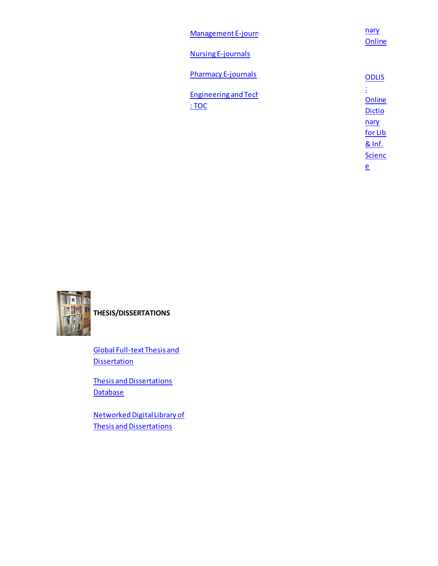| Management E-journ                  | nary<br>Online               |
|-------------------------------------|------------------------------|
| <b>Nursing E-journals</b>           |                              |
| <b>Pharmacy E-journals</b>          | <b>ODLIS</b>                 |
| <b>Engineering and Tech</b><br>:TOC | Ł<br>Online<br><b>Dictio</b> |
|                                     | nary<br>for Lib              |
|                                     | & Inf.                       |
|                                     | <b>Scienc</b>                |
|                                     | $\underline{\mathsf{e}}$     |



**THESIS/DISSERTATIONS**

[Global Full-text Thesis and](http://164.100.247.25/basisbwdocs/ethesis.html)  **[Dissertation](http://164.100.247.25/basisbwdocs/ethesis.html)** 

[Thesis and Dissertations](http://164.100.247.25/cgi/nph-bwcgi/BASIS/theses/theses/theses/SF)  **[Database](http://164.100.247.25/cgi/nph-bwcgi/BASIS/theses/theses/theses/SF)** 

[Networked Digital Library of](http://www.vtls.com/ndltd)  [Thesis and Dissertations](http://www.vtls.com/ndltd)